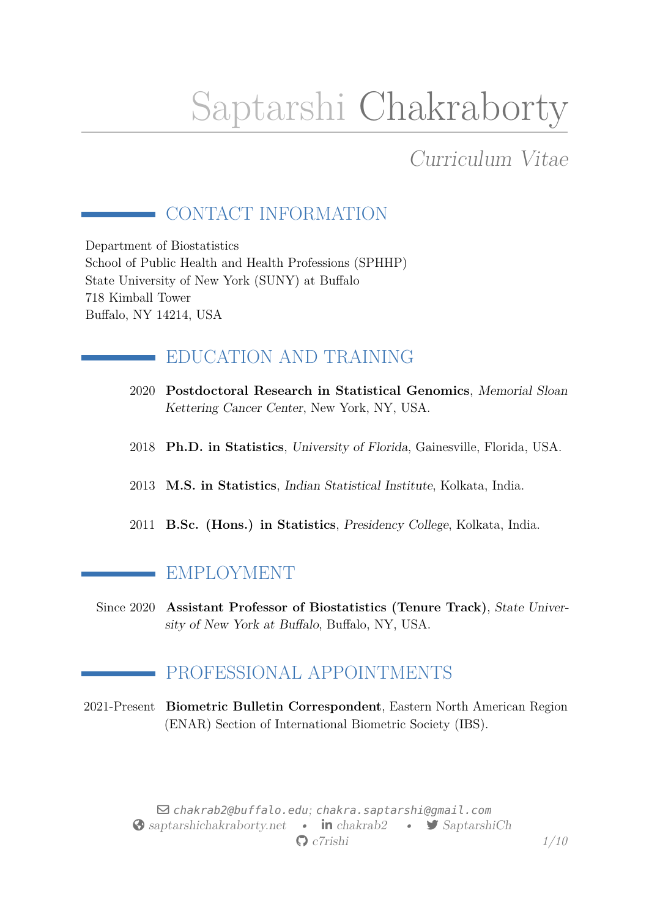# Saptarshi Chakraborty

# Curriculum Vitae

# CONTACT INFORMATION

Department of Biostatistics School of Public Health and Health Professions (SPHHP) State University of New York (SUNY) at Buffalo 718 Kimball Tower Buffalo, NY 14214, USA

# EDUCATION AND TRAINING

- 2020 **Postdoctoral Research in Statistical Genomics**, Memorial Sloan Kettering Cancer Center, New York, NY, USA.
- 2018 **Ph.D. in Statistics**, University of Florida, Gainesville, Florida, USA.
- 2013 **M.S. in Statistics**, Indian Statistical Institute, Kolkata, India.
- 2011 **B.Sc. (Hons.) in Statistics**, Presidency College, Kolkata, India.

## EMPLOYMENT

 $\mathcal{L}_{\mathcal{A}}$ 

Since 2020 **Assistant Professor of Biostatistics (Tenure Track)**, State University of New York at Buffalo, Buffalo, NY, USA.

## PROFESSIONAL APPOINTMENTS

2021-Present **Biometric Bulletin Correspondent**, Eastern North American Region (ENAR) Section of International Biometric Society (IBS).

> $\boxdot$  [chakrab2@buffalo.edu](mailto:chakrab2@buffalo.edu); [chakra.saptarshi@gmail.com](mailto:chakra.saptarshi@gmail.com) Saptarshichakraborty.net • **in** [chakrab2](https://www.linkedin.com/in/chakrab2) • [SaptarshiCh](https://www.twitter.com/SaptarshiCh) § [c7rishi](https://www.github.com/c7rishi) *1[/10](#page-9-0)*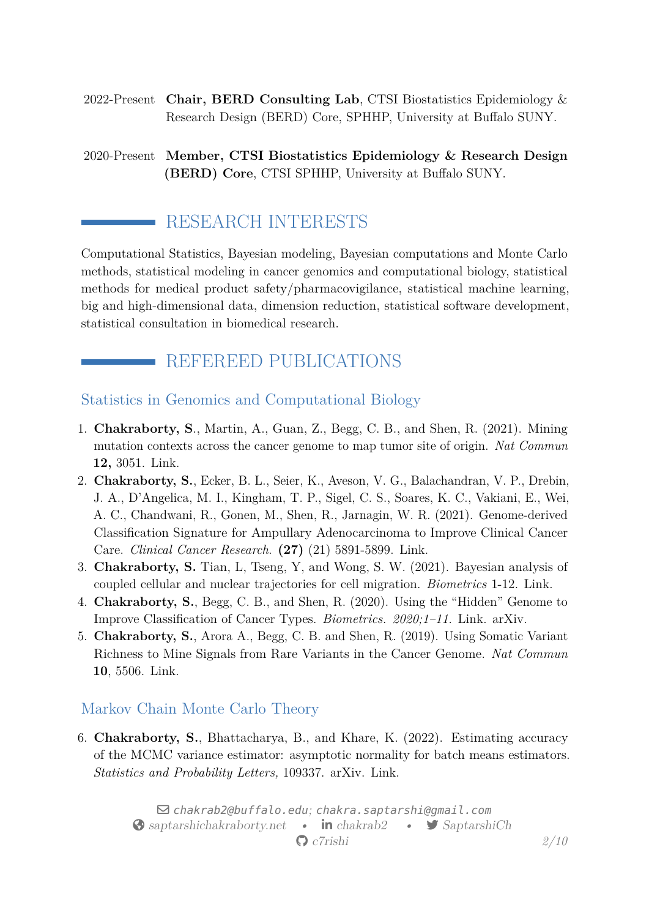- 2022-Present **Chair, BERD Consulting Lab**, CTSI Biostatistics Epidemiology & Research Design (BERD) Core, SPHHP, University at Buffalo SUNY.
- 2020-Present **Member, CTSI Biostatistics Epidemiology & Research Design (BERD) Core**, CTSI SPHHP, University at Buffalo SUNY.

## RESEARCH INTERESTS

Computational Statistics, Bayesian modeling, Bayesian computations and Monte Carlo methods, statistical modeling in cancer genomics and computational biology, statistical methods for medical product safety/pharmacovigilance, statistical machine learning, big and high-dimensional data, dimension reduction, statistical software development, statistical consultation in biomedical research.

## REFEREED PUBLICATIONS

#### Statistics in Genomics and Computational Biology

- 1. **Chakraborty, S**., Martin, A., Guan, Z., Begg, C. B., and Shen, R. (2021). Mining mutation contexts across the cancer genome to map tumor site of origin. *Nat Commun* **12,** 3051. [Link.](https://www.nature.com/articles/s41467-021-23094-z)
- 2. **Chakraborty, S.**, Ecker, B. L., Seier, K., Aveson, V. G., Balachandran, V. P., Drebin, J. A., D'Angelica, M. I., Kingham, T. P., Sigel, C. S., Soares, K. C., Vakiani, E., Wei, A. C., Chandwani, R., Gonen, M., Shen, R., Jarnagin, W. R. (2021). Genome-derived Classification Signature for Ampullary Adenocarcinoma to Improve Clinical Cancer Care. *Clinical Cancer Research*. **(27)** (21) 5891-5899. [Link.](https://clincancerres.aacrjournals.org/content/early/2021/09/25/1078-0432.CCR-21-1906)
- 3. **Chakraborty, S.** Tian, L, Tseng, Y, and Wong, S. W. (2021). Bayesian analysis of coupled cellular and nuclear trajectories for cell migration. *Biometrics* 1-12. [Link.](https://onlinelibrary.wiley.com/doi/10.1111/biom.13468)
- 4. **Chakraborty, S.**, Begg, C. B., and Shen, R. (2020). Using the "Hidden" Genome to Improve Classification of Cancer Types. *Biometrics. 2020;1–11.* [Link.](https://onlinelibrary.wiley.com/doi/abs/10.1111/biom.13367) [arXiv.](https://arxiv.org/abs/2005.10779)
- 5. **Chakraborty, S.**, Arora A., Begg, C. B. and Shen, R. (2019). Using Somatic Variant Richness to Mine Signals from Rare Variants in the Cancer Genome. *Nat Commun* **10**, 5506. [Link.](https://www.nature.com/articles/s41467-019-13402-z)

### Markov Chain Monte Carlo Theory

6. **Chakraborty, S.**, Bhattacharya, B., and Khare, K. (2022). Estimating accuracy of the MCMC variance estimator: asymptotic normality for batch means estimators. *Statistics and Probability Letters,* 109337. [arXiv.](https://arxiv.org/abs/1911.00915) [Link.](https://www.sciencedirect.com/science/article/abs/pii/S0167715221002868)

> $\boxdot$  [chakrab2@buffalo.edu](mailto:chakrab2@buffalo.edu); [chakra.saptarshi@gmail.com](mailto:chakra.saptarshi@gmail.com) Saptarshichakraborty.net • **in** [chakrab2](https://www.linkedin.com/in/chakrab2) • [SaptarshiCh](https://www.twitter.com/SaptarshiCh) § [c7rishi](https://www.github.com/c7rishi) *2[/10](#page-9-0)*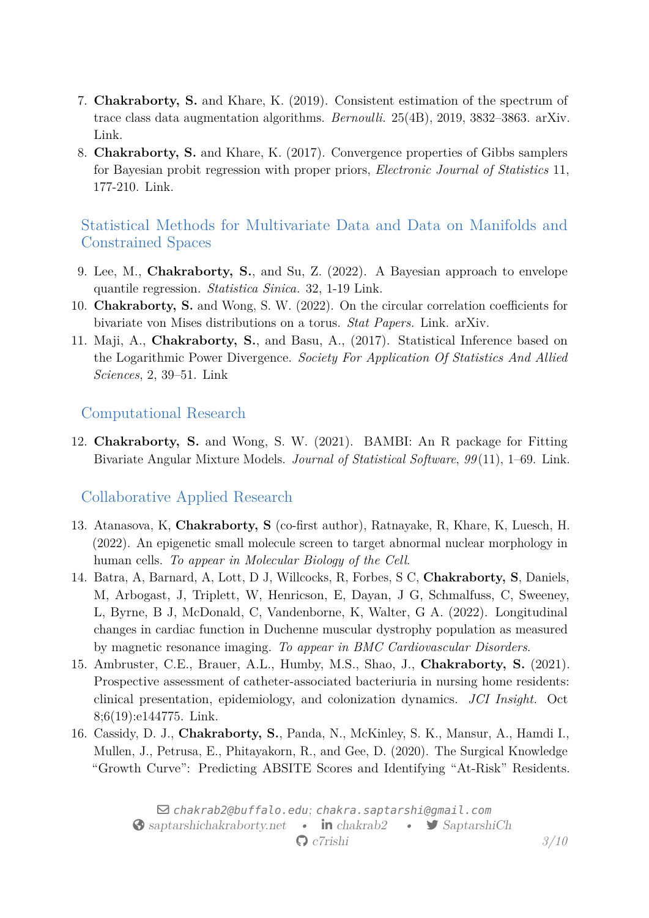- 7. **Chakraborty, S.** and Khare, K. (2019). Consistent estimation of the spectrum of trace class data augmentation algorithms. *Bernoulli.* 25(4B), 2019, 3832–3863. [arXiv.](https://arxiv.org/abs/1711.00572) [Link.](https://projecteuclid.org/euclid.bj/1569398786)
- 8. **Chakraborty, S.** and Khare, K. (2017). Convergence properties of Gibbs samplers for Bayesian probit regression with proper priors, *Electronic Journal of Statistics* 11, 177-210. [Link.](https://projecteuclid.org/euclid.ejs/1485939612)

Statistical Methods for Multivariate Data and Data on Manifolds and Constrained Spaces

- 9. Lee, M., **Chakraborty, S.**, and Su, Z. (2022). A Bayesian approach to envelope quantile regression. *Statistica Sinica.* 32, 1-19 [Link.](http://www3.stat.sinica.edu.tw/LatestART/SS-2020-0109_fp.pdf)
- 10. **Chakraborty, S.** and Wong, S. W. (2022). On the circular correlation coefficients for bivariate von Mises distributions on a torus. *Stat Papers.* [Link.](https://link.springer.com/article/10.1007/s00362-022-01333-9) [arXiv.](https://arxiv.org/abs/1804.08553)
- 11. Maji, A., **Chakraborty, S.**, and Basu, A., (2017). Statistical Inference based on the Logarithmic Power Divergence. *Society For Application Of Statistics And Allied Sciences*, 2, 39–51. [Link](http://www.sasaa.org/complete_journal/vol2__6.pdf)

#### Computational Research

12. **Chakraborty, S.** and Wong, S. W. (2021). BAMBI: An R package for Fitting Bivariate Angular Mixture Models. *Journal of Statistical Software*, *99* (11), 1–69. [Link.](https://doi.org/10.18637/jss.v099.i11)

#### Collaborative Applied Research

- 13. Atanasova, K, **Chakraborty, S** (co-first author), Ratnayake, R, Khare, K, Luesch, H. (2022). An epigenetic small molecule screen to target abnormal nuclear morphology in human cells. *To appear in Molecular Biology of the Cell*.
- 14. Batra, A, Barnard, A, Lott, D J, Willcocks, R, Forbes, S C, **Chakraborty, S**, Daniels, M, Arbogast, J, Triplett, W, Henricson, E, Dayan, J G, Schmalfuss, C, Sweeney, L, Byrne, B J, McDonald, C, Vandenborne, K, Walter, G A. (2022). Longitudinal changes in cardiac function in Duchenne muscular dystrophy population as measured by magnetic resonance imaging. *To appear in BMC Cardiovascular Disorders*.
- 15. Ambruster, C.E., Brauer, A.L., Humby, M.S., Shao, J., **Chakraborty, S.** (2021). Prospective assessment of catheter-associated bacteriuria in nursing home residents: clinical presentation, epidemiology, and colonization dynamics. *JCI Insight.* Oct 8;6(19):e144775. [Link.](https://pubmed.ncbi.nlm.nih.gov/34473649/)
- 16. Cassidy, D. J., **Chakraborty, S.**, Panda, N., McKinley, S. K., Mansur, A., Hamdi I., Mullen, J., Petrusa, E., Phitayakorn, R., and Gee, D. (2020). The Surgical Knowledge "Growth Curve": Predicting ABSITE Scores and Identifying "At-Risk" Residents.

 $\boxdot$  [chakrab2@buffalo.edu](mailto:chakrab2@buffalo.edu); [chakra.saptarshi@gmail.com](mailto:chakra.saptarshi@gmail.com) Solar [saptarshichakraborty.net](http://saptarshichakraborty.net) • **in** [chakrab2](https://www.linkedin.com/in/chakrab2) • [SaptarshiCh](https://www.twitter.com/SaptarshiCh) § [c7rishi](https://www.github.com/c7rishi) *3[/10](#page-9-0)*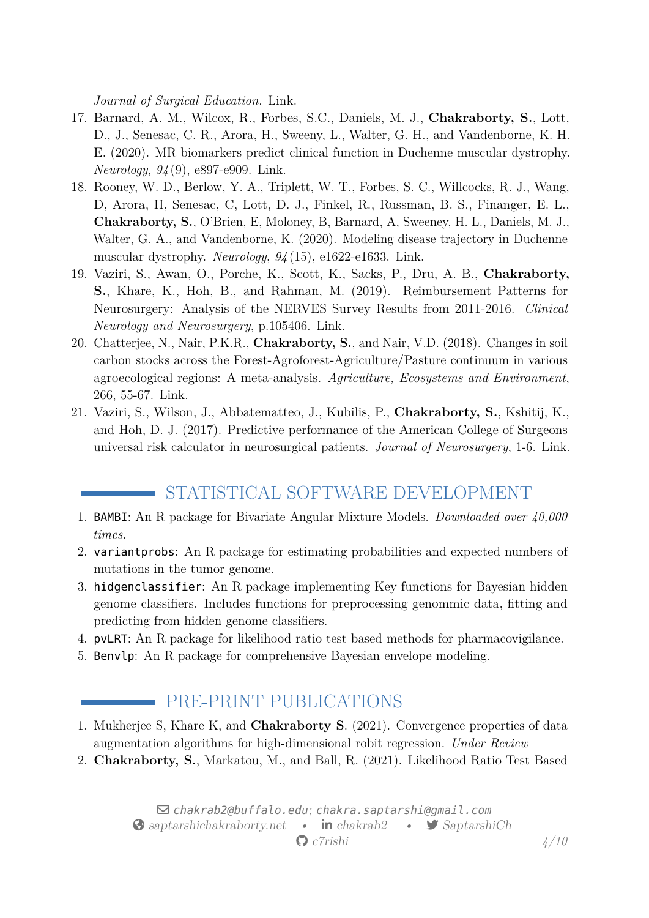*Journal of Surgical Education.* [Link.](https://www.sciencedirect.com/science/article/abs/pii/S1931720420302312)

- 17. Barnard, A. M., Wilcox, R., Forbes, S.C., Daniels, M. J., **Chakraborty, S.**, Lott, D., J., Senesac, C. R., Arora, H., Sweeny, L., Walter, G. H., and Vandenborne, K. H. E. (2020). MR biomarkers predict clinical function in Duchenne muscular dystrophy. *Neurology*, *94* (9), e897-e909. [Link.](https://www.ncbi.nlm.nih.gov/pmc/articles/PMC7238941/)
- 18. Rooney, W. D., Berlow, Y. A., Triplett, W. T., Forbes, S. C., Willcocks, R. J., Wang, D, Arora, H, Senesac, C, Lott, D. J., Finkel, R., Russman, B. S., Finanger, E. L., **Chakraborty, S.**, O'Brien, E, Moloney, B, Barnard, A, Sweeney, H. L., Daniels, M. J., Walter, G. A., and Vandenborne, K. (2020). Modeling disease trajectory in Duchenne muscular dystrophy. *Neurology*, *94* (15), e1622-e1633. [Link.](https://pubmed.ncbi.nlm.nih.gov/32184340/)
- 19. Vaziri, S., Awan, O., Porche, K., Scott, K., Sacks, P., Dru, A. B., **Chakraborty, S.**, Khare, K., Hoh, B., and Rahman, M. (2019). Reimbursement Patterns for Neurosurgery: Analysis of the NERVES Survey Results from 2011-2016. *Clinical Neurology and Neurosurgery*, p.105406. [Link.](https://www.ncbi.nlm.nih.gov/pubmed/31302381)
- 20. Chatterjee, N., Nair, P.K.R., **Chakraborty, S.**, and Nair, V.D. (2018). Changes in soil carbon stocks across the Forest-Agroforest-Agriculture/Pasture continuum in various agroecological regions: A meta-analysis. *Agriculture, Ecosystems and Environment*, 266, 55-67. [Link.](https://www.sciencedirect.com/science/article/abs/pii/S0167880918302913)
- 21. Vaziri, S., Wilson, J., Abbatematteo, J., Kubilis, P., **Chakraborty, S.**, Kshitij, K., and Hoh, D. J. (2017). Predictive performance of the American College of Surgeons universal risk calculator in neurosurgical patients. *Journal of Neurosurgery*, 1-6. [Link.](https://www.ncbi.nlm.nih.gov/pubmed/28452615)

# STATISTICAL SOFTWARE DEVELOPMENT

- 1. [BAMBI](https://cran.r-project.org/web/packages/BAMBI/index.html): An R package for Bivariate Angular Mixture Models. *Downloaded over 40,000 times.*
- 2. [variantprobs](https://github.com/c7rishi/variantprobs): An R package for estimating probabilities and expected numbers of mutations in the tumor genome.
- 3. [hidgenclassifier](https://github.com/c7rishi/hidgenclassifier): An R package implementing Key functions for Bayesian hidden genome classifiers. Includes functions for preprocessing genommic data, fitting and predicting from hidden genome classifiers.
- 4. [pvLRT](https://github.com/c7rishi/pvLRT): An R package for likelihood ratio test based methods for pharmacovigilance.
- 5. Benvlp: An R package for comprehensive Bayesian envelope modeling.

# **PRE-PRINT PUBLICATIONS**

- 1. Mukherjee S, Khare K, and **Chakraborty S**. (2021). Convergence properties of data augmentation algorithms for high-dimensional robit regression. *Under Review*
- 2. **Chakraborty, S.**, Markatou, M., and Ball, R. (2021). Likelihood Ratio Test Based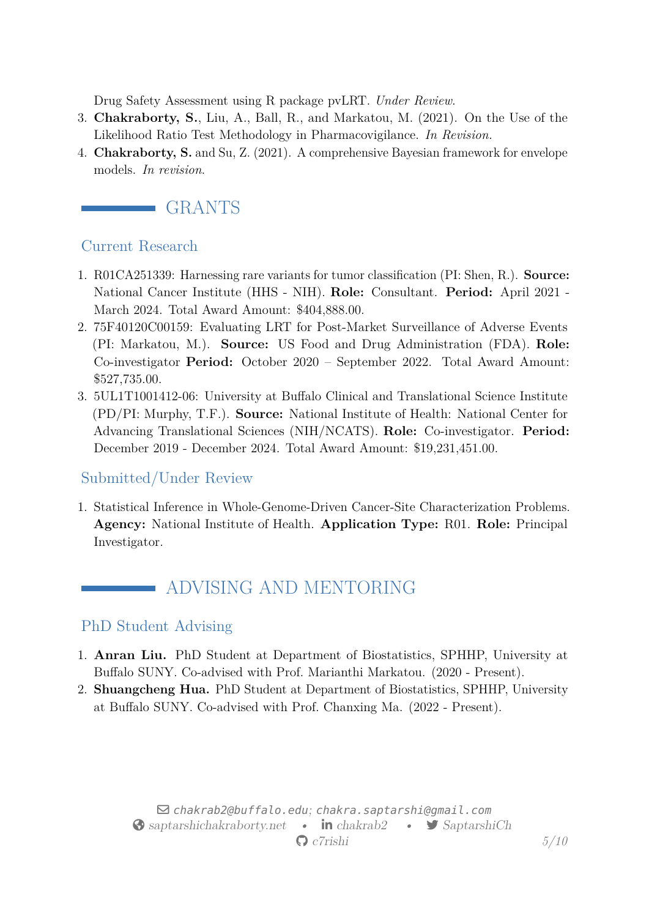Drug Safety Assessment using R package pvLRT. *Under Review*.

- 3. **Chakraborty, S.**, Liu, A., Ball, R., and Markatou, M. (2021). On the Use of the Likelihood Ratio Test Methodology in Pharmacovigilance. *In Revision.*
- 4. **Chakraborty, S.** and Su, Z. (2021). A comprehensive Bayesian framework for envelope models. *In revision*.



#### Current Research

- 1. R01CA251339: Harnessing rare variants for tumor classification (PI: Shen, R.). **Source:** National Cancer Institute (HHS - NIH). **Role:** Consultant. **Period:** April 2021 - March 2024. Total Award Amount: \$404,888.00.
- 2. 75F40120C00159: Evaluating LRT for Post-Market Surveillance of Adverse Events (PI: Markatou, M.). **Source:** US Food and Drug Administration (FDA). **Role:** Co-investigator **Period:** October 2020 – September 2022. Total Award Amount: \$527,735.00.
- 3. 5UL1T1001412-06: University at Buffalo Clinical and Translational Science Institute (PD/PI: Murphy, T.F.). **Source:** National Institute of Health: National Center for Advancing Translational Sciences (NIH/NCATS). **Role:** Co-investigator. **Period:** December 2019 - December 2024. Total Award Amount: \$19,231,451.00.

#### Submitted/Under Review

1. Statistical Inference in Whole-Genome-Driven Cancer-Site Characterization Problems. **Agency:** National Institute of Health. **Application Type:** R01. **Role:** Principal Investigator.

# ADVISING AND MENTORING

#### PhD Student Advising

- 1. **Anran Liu.** PhD Student at Department of Biostatistics, SPHHP, University at Buffalo SUNY. Co-advised with Prof. Marianthi Markatou. (2020 - Present).
- 2. **Shuangcheng Hua.** PhD Student at Department of Biostatistics, SPHHP, University at Buffalo SUNY. Co-advised with Prof. Chanxing Ma. (2022 - Present).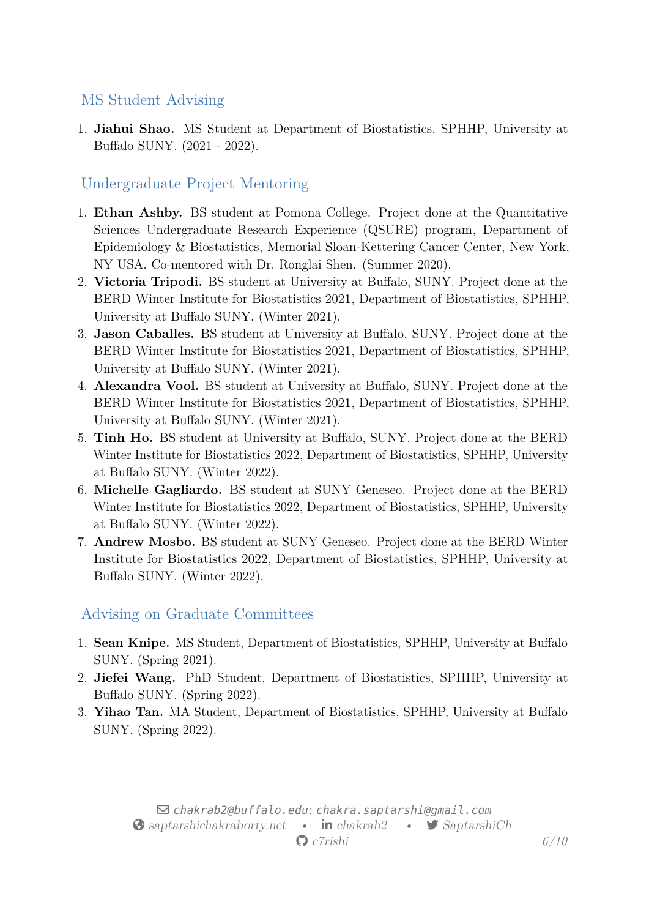#### MS Student Advising

1. **Jiahui Shao.** MS Student at Department of Biostatistics, SPHHP, University at Buffalo SUNY. (2021 - 2022).

## Undergraduate Project Mentoring

- 1. **Ethan Ashby.** BS student at Pomona College. Project done at the Quantitative Sciences Undergraduate Research Experience (QSURE) program, Department of Epidemiology & Biostatistics, Memorial Sloan-Kettering Cancer Center, New York, NY USA. Co-mentored with Dr. Ronglai Shen. (Summer 2020).
- 2. **Victoria Tripodi.** BS student at University at Buffalo, SUNY. Project done at the BERD Winter Institute for Biostatistics 2021, Department of Biostatistics, SPHHP, University at Buffalo SUNY. (Winter 2021).
- 3. **Jason Caballes.** BS student at University at Buffalo, SUNY. Project done at the BERD Winter Institute for Biostatistics 2021, Department of Biostatistics, SPHHP, University at Buffalo SUNY. (Winter 2021).
- 4. **Alexandra Vool.** BS student at University at Buffalo, SUNY. Project done at the BERD Winter Institute for Biostatistics 2021, Department of Biostatistics, SPHHP, University at Buffalo SUNY. (Winter 2021).
- 5. **Tinh Ho.** BS student at University at Buffalo, SUNY. Project done at the BERD Winter Institute for Biostatistics 2022, Department of Biostatistics, SPHHP, University at Buffalo SUNY. (Winter 2022).
- 6. **Michelle Gagliardo.** BS student at SUNY Geneseo. Project done at the BERD Winter Institute for Biostatistics 2022, Department of Biostatistics, SPHHP, University at Buffalo SUNY. (Winter 2022).
- 7. **Andrew Mosbo.** BS student at SUNY Geneseo. Project done at the BERD Winter Institute for Biostatistics 2022, Department of Biostatistics, SPHHP, University at Buffalo SUNY. (Winter 2022).

## Advising on Graduate Committees

- 1. **Sean Knipe.** MS Student, Department of Biostatistics, SPHHP, University at Buffalo SUNY. (Spring 2021).
- 2. **Jiefei Wang.** PhD Student, Department of Biostatistics, SPHHP, University at Buffalo SUNY. (Spring 2022).
- 3. **Yihao Tan.** MA Student, Department of Biostatistics, SPHHP, University at Buffalo SUNY. (Spring 2022).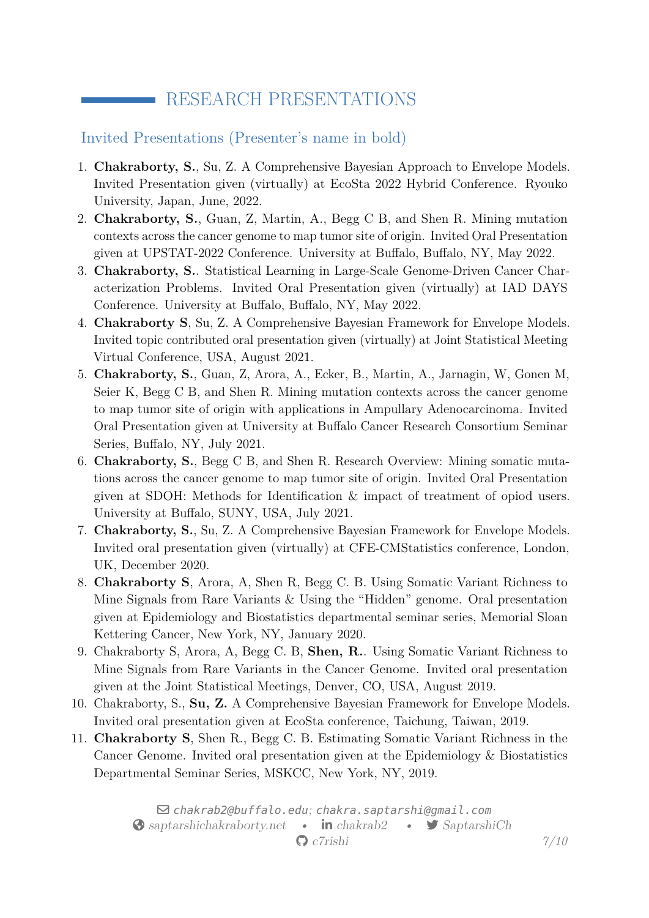# RESEARCH PRESENTATIONS

#### Invited Presentations (Presenter's name in bold)

- 1. **Chakraborty, S.**, Su, Z. A Comprehensive Bayesian Approach to Envelope Models. Invited Presentation given (virtually) at EcoSta 2022 Hybrid Conference. Ryouko University, Japan, June, 2022.
- 2. **Chakraborty, S.**, Guan, Z, Martin, A., Begg C B, and Shen R. Mining mutation contexts across the cancer genome to map tumor site of origin. Invited Oral Presentation given at UPSTAT-2022 Conference. University at Buffalo, Buffalo, NY, May 2022.
- 3. **Chakraborty, S.**. Statistical Learning in Large-Scale Genome-Driven Cancer Characterization Problems. Invited Oral Presentation given (virtually) at IAD DAYS Conference. University at Buffalo, Buffalo, NY, May 2022.
- 4. **Chakraborty S**, Su, Z. A Comprehensive Bayesian Framework for Envelope Models. Invited topic contributed oral presentation given (virtually) at Joint Statistical Meeting Virtual Conference, USA, August 2021.
- 5. **Chakraborty, S.**, Guan, Z, Arora, A., Ecker, B., Martin, A., Jarnagin, W, Gonen M, Seier K, Begg C B, and Shen R. Mining mutation contexts across the cancer genome to map tumor site of origin with applications in Ampullary Adenocarcinoma. Invited Oral Presentation given at University at Buffalo Cancer Research Consortium Seminar Series, Buffalo, NY, July 2021.
- 6. **Chakraborty, S.**, Begg C B, and Shen R. Research Overview: Mining somatic mutations across the cancer genome to map tumor site of origin. Invited Oral Presentation given at SDOH: Methods for Identification & impact of treatment of opiod users. University at Buffalo, SUNY, USA, July 2021.
- 7. **Chakraborty, S.**, Su, Z. A Comprehensive Bayesian Framework for Envelope Models. Invited oral presentation given (virtually) at CFE-CMStatistics conference, London, UK, December 2020.
- 8. **Chakraborty S**, Arora, A, Shen R, Begg C. B. Using Somatic Variant Richness to Mine Signals from Rare Variants & Using the "Hidden" genome. Oral presentation given at Epidemiology and Biostatistics departmental seminar series, Memorial Sloan Kettering Cancer, New York, NY, January 2020.
- 9. Chakraborty S, Arora, A, Begg C. B, **Shen, R.**. Using Somatic Variant Richness to Mine Signals from Rare Variants in the Cancer Genome. Invited oral presentation given at the Joint Statistical Meetings, Denver, CO, USA, August 2019.
- 10. Chakraborty, S., **Su, Z.** A Comprehensive Bayesian Framework for Envelope Models. Invited oral presentation given at EcoSta conference, Taichung, Taiwan, 2019.
- 11. **Chakraborty S**, Shen R., Begg C. B. Estimating Somatic Variant Richness in the Cancer Genome. Invited oral presentation given at the Epidemiology & Biostatistics Departmental Seminar Series, MSKCC, New York, NY, 2019.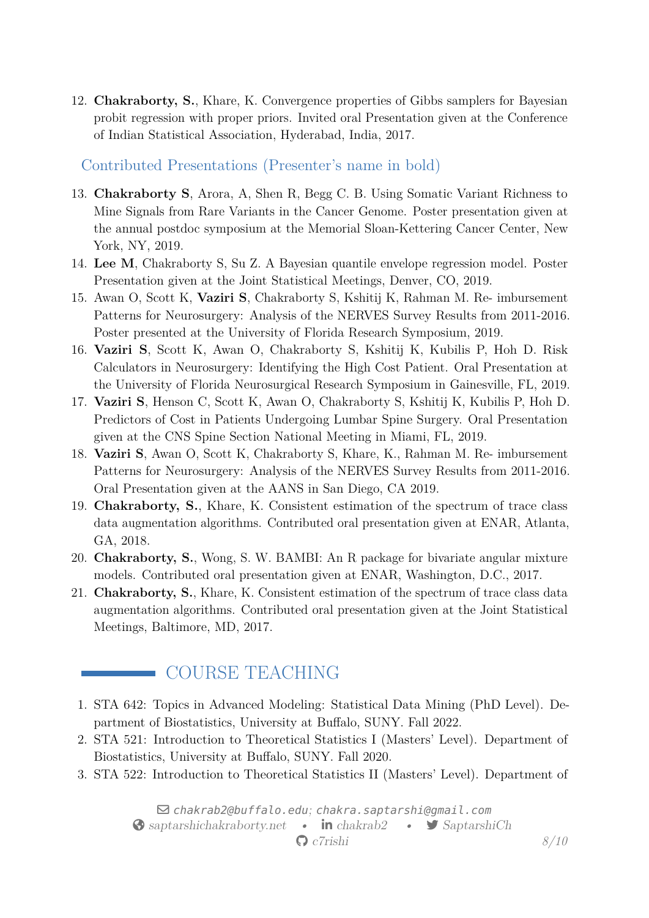12. **Chakraborty, S.**, Khare, K. Convergence properties of Gibbs samplers for Bayesian probit regression with proper priors. Invited oral Presentation given at the Conference of Indian Statistical Association, Hyderabad, India, 2017.

Contributed Presentations (Presenter's name in bold)

- 13. **Chakraborty S**, Arora, A, Shen R, Begg C. B. Using Somatic Variant Richness to Mine Signals from Rare Variants in the Cancer Genome. Poster presentation given at the annual postdoc symposium at the Memorial Sloan-Kettering Cancer Center, New York, NY, 2019.
- 14. **Lee M**, Chakraborty S, Su Z. A Bayesian quantile envelope regression model. Poster Presentation given at the Joint Statistical Meetings, Denver, CO, 2019.
- 15. Awan O, Scott K, **Vaziri S**, Chakraborty S, Kshitij K, Rahman M. Re- imbursement Patterns for Neurosurgery: Analysis of the NERVES Survey Results from 2011-2016. Poster presented at the University of Florida Research Symposium, 2019.
- 16. **Vaziri S**, Scott K, Awan O, Chakraborty S, Kshitij K, Kubilis P, Hoh D. Risk Calculators in Neurosurgery: Identifying the High Cost Patient. Oral Presentation at the University of Florida Neurosurgical Research Symposium in Gainesville, FL, 2019.
- 17. **Vaziri S**, Henson C, Scott K, Awan O, Chakraborty S, Kshitij K, Kubilis P, Hoh D. Predictors of Cost in Patients Undergoing Lumbar Spine Surgery. Oral Presentation given at the CNS Spine Section National Meeting in Miami, FL, 2019.
- 18. **Vaziri S**, Awan O, Scott K, Chakraborty S, Khare, K., Rahman M. Re- imbursement Patterns for Neurosurgery: Analysis of the NERVES Survey Results from 2011-2016. Oral Presentation given at the AANS in San Diego, CA 2019.
- 19. **Chakraborty, S.**, Khare, K. Consistent estimation of the spectrum of trace class data augmentation algorithms. Contributed oral presentation given at ENAR, Atlanta, GA, 2018.
- 20. **Chakraborty, S.**, Wong, S. W. BAMBI: An R package for bivariate angular mixture models. Contributed oral presentation given at ENAR, Washington, D.C., 2017.
- 21. **Chakraborty, S.**, Khare, K. Consistent estimation of the spectrum of trace class data augmentation algorithms. Contributed oral presentation given at the Joint Statistical Meetings, Baltimore, MD, 2017.

# COURSE TEACHING

- 1. STA 642: Topics in Advanced Modeling: Statistical Data Mining (PhD Level). Department of Biostatistics, University at Buffalo, SUNY. Fall 2022.
- 2. STA 521: Introduction to Theoretical Statistics I (Masters' Level). Department of Biostatistics, University at Buffalo, SUNY. Fall 2020.
- 3. STA 522: Introduction to Theoretical Statistics II (Masters' Level). Department of

 $\boxdot$  [chakrab2@buffalo.edu](mailto:chakrab2@buffalo.edu); [chakra.saptarshi@gmail.com](mailto:chakra.saptarshi@gmail.com) Solar [saptarshichakraborty.net](http://saptarshichakraborty.net) • **in** [chakrab2](https://www.linkedin.com/in/chakrab2) • [SaptarshiCh](https://www.twitter.com/SaptarshiCh) § [c7rishi](https://www.github.com/c7rishi) *8[/10](#page-9-0)*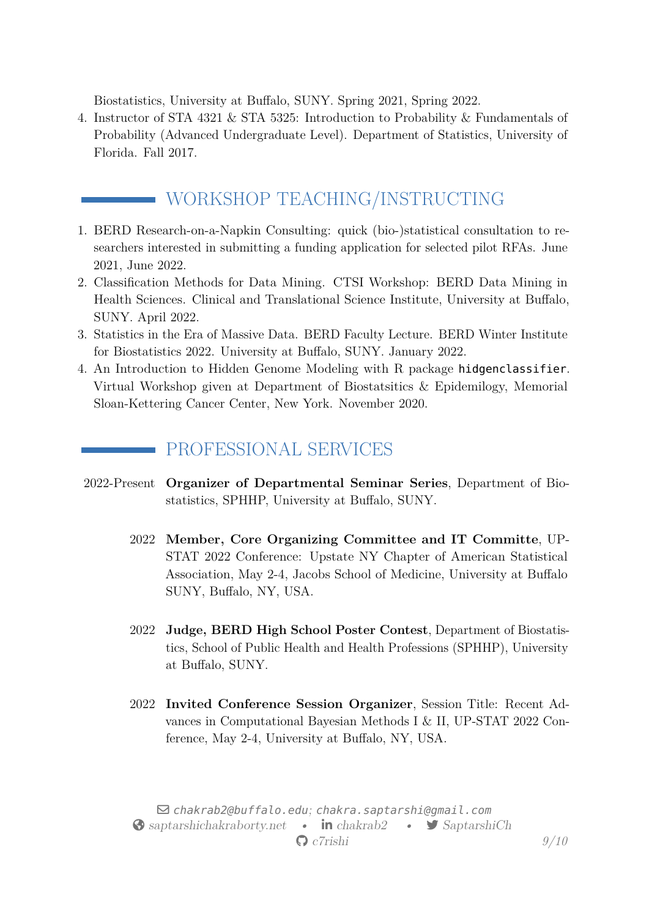Biostatistics, University at Buffalo, SUNY. Spring 2021, Spring 2022.

4. Instructor of STA 4321 & STA 5325: Introduction to Probability & Fundamentals of Probability (Advanced Undergraduate Level). Department of Statistics, University of Florida. Fall 2017.

# WORKSHOP TEACHING/INSTRUCTING

- 1. BERD Research-on-a-Napkin Consulting: quick (bio-)statistical consultation to researchers interested in submitting a funding application for selected pilot RFAs. June 2021, June 2022.
- 2. Classification Methods for Data Mining. CTSI Workshop: BERD Data Mining in Health Sciences. Clinical and Translational Science Institute, University at Buffalo, SUNY. April 2022.
- 3. Statistics in the Era of Massive Data. BERD Faculty Lecture. BERD Winter Institute for Biostatistics 2022. University at Buffalo, SUNY. January 2022.
- 4. An Introduction to Hidden Genome Modeling with R package hidgenclassifier. Virtual Workshop given at Department of Biostatsitics & Epidemilogy, Memorial Sloan-Kettering Cancer Center, New York. November 2020.

## PROFESSIONAL SERVICES

- 2022-Present **Organizer of Departmental Seminar Series**, Department of Biostatistics, SPHHP, University at Buffalo, SUNY.
	- 2022 **Member, Core Organizing Committee and IT Committe**, UP-STAT 2022 Conference: Upstate NY Chapter of American Statistical Association, May 2-4, Jacobs School of Medicine, University at Buffalo SUNY, Buffalo, NY, USA.
	- 2022 **Judge, BERD High School Poster Contest**, Department of Biostatistics, School of Public Health and Health Professions (SPHHP), University at Buffalo, SUNY.
	- 2022 **Invited Conference Session Organizer**, Session Title: Recent Advances in Computational Bayesian Methods I & II, UP-STAT 2022 Conference, May 2-4, University at Buffalo, NY, USA.